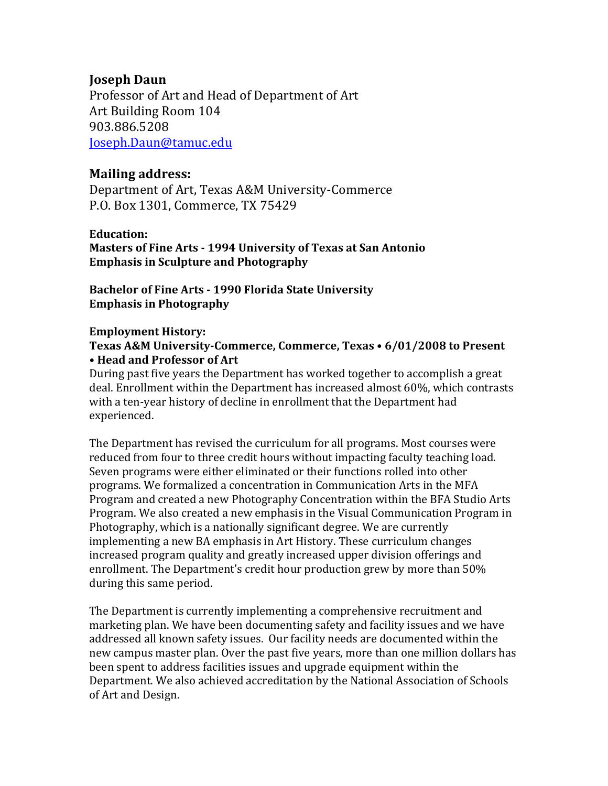# **Joseph Daun**

Professor of Art and Head of Department of Art Art Building Room 104 903.886.5208 Joseph.Daun@tamuc.edu

# **Mailing address:**

Department of Art, Texas A&M University-Commerce P.O. Box 1301, Commerce, TX 75429

## **Education:**

**Masters of Fine Arts - 1994 University of Texas at San Antonio Emphasis in Sculpture and Photography** 

Bachelor of Fine Arts - 1990 Florida State University **Emphasis in Photography** 

## **Employment History:**

## Texas A&M University-Commerce, Commerce, Texas • 6/01/2008 to Present **• Head and Professor of Art**

During past five years the Department has worked together to accomplish a great deal. Enrollment within the Department has increased almost 60%, which contrasts with a ten-year history of decline in enrollment that the Department had experienced. 

The Department has revised the curriculum for all programs. Most courses were reduced from four to three credit hours without impacting faculty teaching load. Seven programs were either eliminated or their functions rolled into other programs. We formalized a concentration in Communication Arts in the MFA Program and created a new Photography Concentration within the BFA Studio Arts Program. We also created a new emphasis in the Visual Communication Program in Photography, which is a nationally significant degree. We are currently implementing a new BA emphasis in Art History. These curriculum changes increased program quality and greatly increased upper division offerings and enrollment. The Department's credit hour production grew by more than 50% during this same period.

The Department is currently implementing a comprehensive recruitment and marketing plan. We have been documenting safety and facility issues and we have addressed all known safety issues. Our facility needs are documented within the new campus master plan. Over the past five years, more than one million dollars has been spent to address facilities issues and upgrade equipment within the Department. We also achieved accreditation by the National Association of Schools of Art and Design.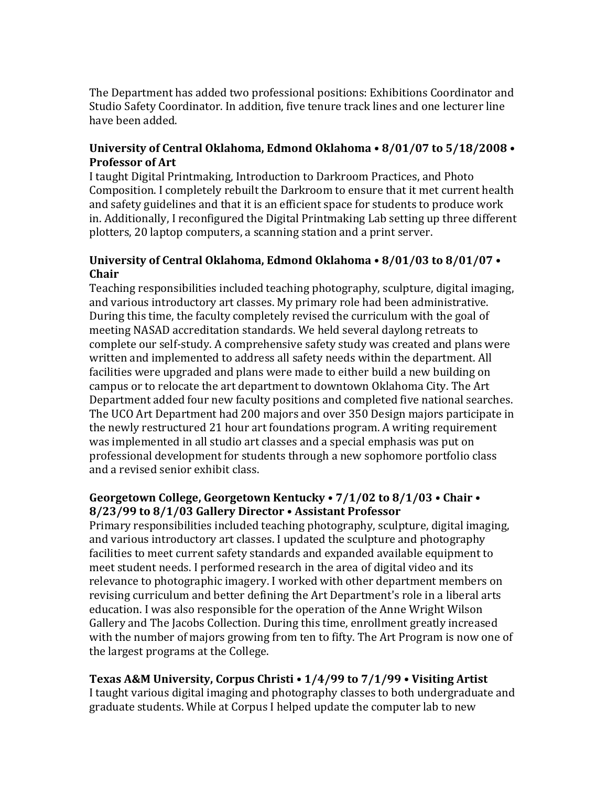The Department has added two professional positions: Exhibitions Coordinator and Studio Safety Coordinator. In addition, five tenure track lines and one lecturer line have been added.

## University of Central Oklahoma, Edmond Oklahoma • 8/01/07 to 5/18/2008 • **Professor of Art**

I taught Digital Printmaking, Introduction to Darkroom Practices, and Photo Composition. I completely rebuilt the Darkroom to ensure that it met current health and safety guidelines and that it is an efficient space for students to produce work in. Additionally, I reconfigured the Digital Printmaking Lab setting up three different plotters, 20 laptop computers, a scanning station and a print server.

## University of Central Oklahoma, Edmond Oklahoma • 8/01/03 to 8/01/07 • **Chair**

Teaching responsibilities included teaching photography, sculpture, digital imaging, and various introductory art classes. My primary role had been administrative. During this time, the faculty completely revised the curriculum with the goal of meeting NASAD accreditation standards. We held several daylong retreats to complete our self-study. A comprehensive safety study was created and plans were written and implemented to address all safety needs within the department. All facilities were upgraded and plans were made to either build a new building on campus or to relocate the art department to downtown Oklahoma City. The Art Department added four new faculty positions and completed five national searches. The UCO Art Department had 200 majors and over 350 Design majors participate in the newly restructured 21 hour art foundations program. A writing requirement was implemented in all studio art classes and a special emphasis was put on professional development for students through a new sophomore portfolio class and a revised senior exhibit class.

## Georgetown College, Georgetown Kentucky •  $7/1/02$  to  $8/1/03$  • Chair • **8/23/99** to 8/1/03 Gallery Director • Assistant Professor

Primary responsibilities included teaching photography, sculpture, digital imaging, and various introductory art classes. I updated the sculpture and photography facilities to meet current safety standards and expanded available equipment to meet student needs. I performed research in the area of digital video and its relevance to photographic imagery. I worked with other department members on revising curriculum and better defining the Art Department's role in a liberal arts education. I was also responsible for the operation of the Anne Wright Wilson Gallery and The Jacobs Collection. During this time, enrollment greatly increased with the number of majors growing from ten to fifty. The Art Program is now one of the largest programs at the College.

## **Texas A&M University, Corpus Christi • 1/4/99 to 7/1/99 • Visiting Artist**

I taught various digital imaging and photography classes to both undergraduate and graduate students. While at Corpus I helped update the computer lab to new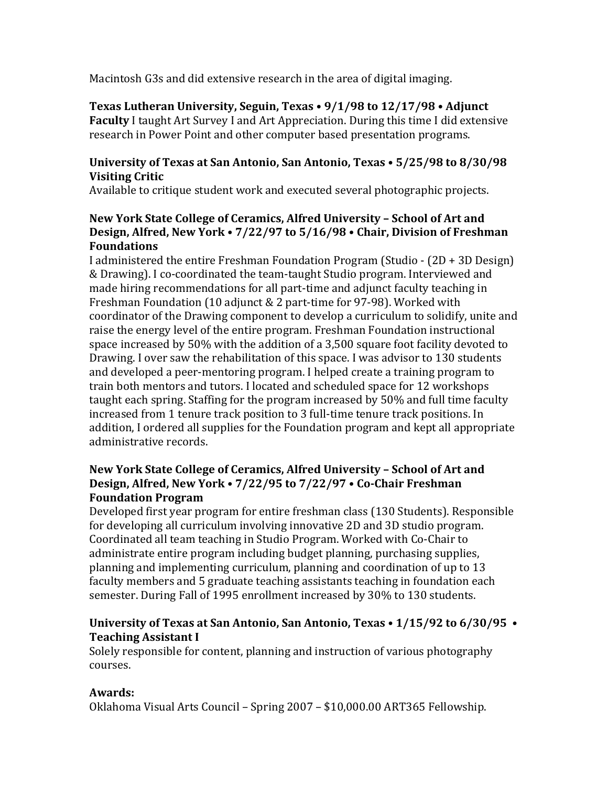Macintosh G3s and did extensive research in the area of digital imaging.

**Texas Lutheran University, Seguin, Texas • 9/1/98 to 12/17/98 • Adjunct Faculty** I taught Art Survey I and Art Appreciation. During this time I did extensive research in Power Point and other computer based presentation programs.

## University of Texas at San Antonio, San Antonio, Texas • 5/25/98 to 8/30/98 **Visiting Critic**

Available to critique student work and executed several photographic projects.

## New York State College of Ceramics, Alfred University - School of Art and **Design, Alfred, New York • 7/22/97 to 5/16/98 • Chair, Division of Freshman Foundations**

I administered the entire Freshman Foundation Program (Studio -  $(2D + 3D$  Design) & Drawing). I co-coordinated the team-taught Studio program. Interviewed and made hiring recommendations for all part-time and adjunct faculty teaching in Freshman Foundation (10 adjunct & 2 part-time for 97-98). Worked with coordinator of the Drawing component to develop a curriculum to solidify, unite and raise the energy level of the entire program. Freshman Foundation instructional space increased by 50% with the addition of a 3,500 square foot facility devoted to Drawing. I over saw the rehabilitation of this space. I was advisor to 130 students and developed a peer-mentoring program. I helped create a training program to train both mentors and tutors. I located and scheduled space for 12 workshops taught each spring. Staffing for the program increased by 50% and full time faculty increased from 1 tenure track position to 3 full-time tenure track positions. In addition, I ordered all supplies for the Foundation program and kept all appropriate administrative records.

## New York State College of Ceramics, Alfred University - School of Art and **Design, Alfred, New York • 7/22/95 to 7/22/97 • Co-Chair Freshman Foundation Program**

Developed first year program for entire freshman class (130 Students). Responsible for developing all curriculum involving innovative 2D and 3D studio program. Coordinated all team teaching in Studio Program. Worked with Co-Chair to administrate entire program including budget planning, purchasing supplies, planning and implementing curriculum, planning and coordination of up to 13 faculty members and 5 graduate teaching assistants teaching in foundation each semester. During Fall of 1995 enrollment increased by 30% to 130 students.

## **University of Texas at San Antonio, San Antonio, Texas • 1/15/92 to 6/30/95 • Teaching Assistant I**

Solely responsible for content, planning and instruction of various photography courses.

# **Awards:**

Oklahoma Visual Arts Council – Spring 2007 – \$10,000.00 ART365 Fellowship.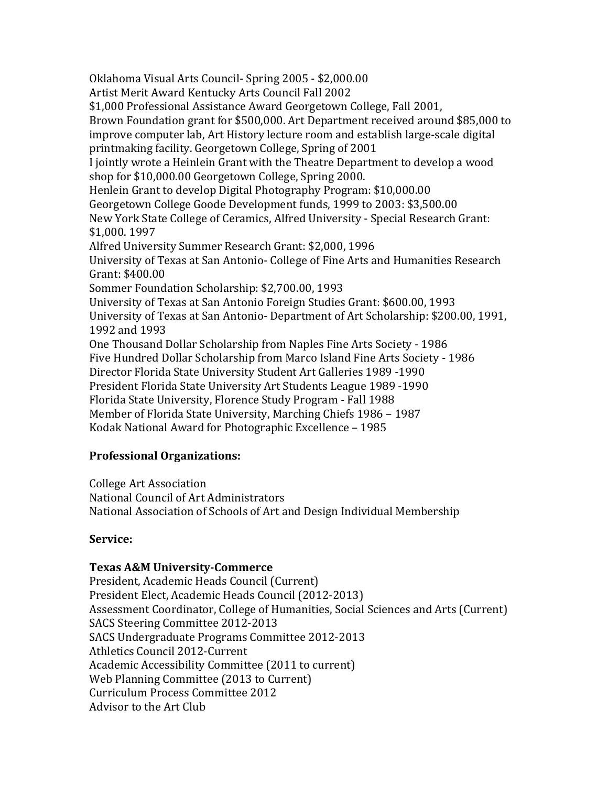Oklahoma Visual Arts Council- Spring 2005 - \$2,000.00 Artist Merit Award Kentucky Arts Council Fall 2002 \$1,000 Professional Assistance Award Georgetown College, Fall 2001, Brown Foundation grant for \$500,000. Art Department received around \$85,000 to improve computer lab, Art History lecture room and establish large-scale digital printmaking facility. Georgetown College, Spring of 2001 I jointly wrote a Heinlein Grant with the Theatre Department to develop a wood shop for \$10,000.00 Georgetown College, Spring 2000. Henlein Grant to develop Digital Photography Program: \$10,000.00 Georgetown College Goode Development funds, 1999 to 2003: \$3,500.00 New York State College of Ceramics, Alfred University - Special Research Grant: \$1,000. 1997 Alfred University Summer Research Grant: \$2,000. 1996 University of Texas at San Antonio- College of Fine Arts and Humanities Research Grant: \$400.00 Sommer Foundation Scholarship: \$2,700.00, 1993 University of Texas at San Antonio Foreign Studies Grant: \$600.00, 1993 University of Texas at San Antonio- Department of Art Scholarship: \$200.00, 1991, 1992 and 1993 One Thousand Dollar Scholarship from Naples Fine Arts Society - 1986 Five Hundred Dollar Scholarship from Marco Island Fine Arts Society - 1986 Director Florida State University Student Art Galleries 1989 -1990 President Florida State University Art Students League 1989 -1990 Florida State University, Florence Study Program - Fall 1988 Member of Florida State University, Marching Chiefs 1986 – 1987 Kodak National Award for Photographic Excellence - 1985

## **Professional Organizations:**

College Art Association

National Council of Art Administrators

National Association of Schools of Art and Design Individual Membership

## **Service:**

## **Texas A&M University-Commerce**

President, Academic Heads Council (Current) President Elect, Academic Heads Council (2012-2013) Assessment Coordinator, College of Humanities, Social Sciences and Arts (Current) SACS Steering Committee 2012-2013 SACS Undergraduate Programs Committee 2012-2013 Athletics Council 2012-Current Academic Accessibility Committee (2011 to current) Web Planning Committee (2013 to Current) Curriculum Process Committee 2012 Advisor to the Art Club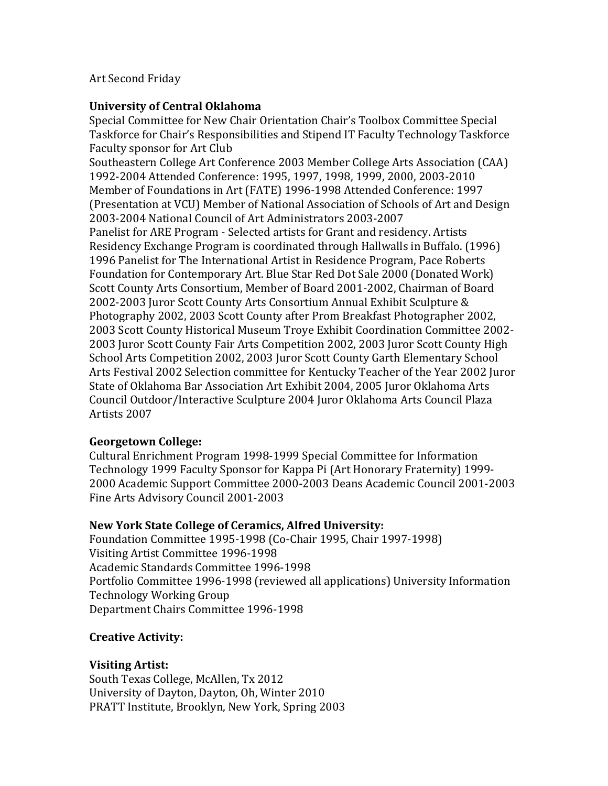#### **Art Second Friday**

#### **University of Central Oklahoma**

Special Committee for New Chair Orientation Chair's Toolbox Committee Special Taskforce for Chair's Responsibilities and Stipend IT Faculty Technology Taskforce Faculty sponsor for Art Club

Southeastern College Art Conference 2003 Member College Arts Association (CAA) 1992-2004 Attended Conference: 1995, 1997, 1998, 1999, 2000, 2003-2010 Member of Foundations in Art (FATE) 1996-1998 Attended Conference: 1997 (Presentation at VCU) Member of National Association of Schools of Art and Design 2003-2004 National Council of Art Administrators 2003-2007 Panelist for ARE Program - Selected artists for Grant and residency. Artists Residency Exchange Program is coordinated through Hallwalls in Buffalo. (1996) 1996 Panelist for The International Artist in Residence Program, Pace Roberts Foundation for Contemporary Art. Blue Star Red Dot Sale 2000 (Donated Work) Scott County Arts Consortium, Member of Board 2001-2002, Chairman of Board 2002-2003 Juror Scott County Arts Consortium Annual Exhibit Sculpture & Photography 2002, 2003 Scott County after Prom Breakfast Photographer 2002, 2003 Scott County Historical Museum Troye Exhibit Coordination Committee 2002-2003 Juror Scott County Fair Arts Competition 2002, 2003 Juror Scott County High School Arts Competition 2002, 2003 Juror Scott County Garth Elementary School Arts Festival 2002 Selection committee for Kentucky Teacher of the Year 2002 Juror State of Oklahoma Bar Association Art Exhibit 2004, 2005 Juror Oklahoma Arts Council Outdoor/Interactive Sculpture 2004 Juror Oklahoma Arts Council Plaza Artists 2007

## **Georgetown College:**

Cultural Enrichment Program 1998-1999 Special Committee for Information Technology 1999 Faculty Sponsor for Kappa Pi (Art Honorary Fraternity) 1999-2000 Academic Support Committee 2000-2003 Deans Academic Council 2001-2003 Fine Arts Advisory Council 2001-2003

#### **New York State College of Ceramics, Alfred University:**

Foundation Committee 1995-1998 (Co-Chair 1995, Chair 1997-1998) Visiting Artist Committee 1996-1998 Academic Standards Committee 1996-1998 Portfolio Committee 1996-1998 (reviewed all applications) University Information Technology Working Group Department Chairs Committee 1996-1998

## **Creative Activity:**

## **Visiting Artist:**

South Texas College, McAllen, Tx 2012 University of Dayton, Dayton, Oh, Winter 2010 PRATT Institute, Brooklyn, New York, Spring 2003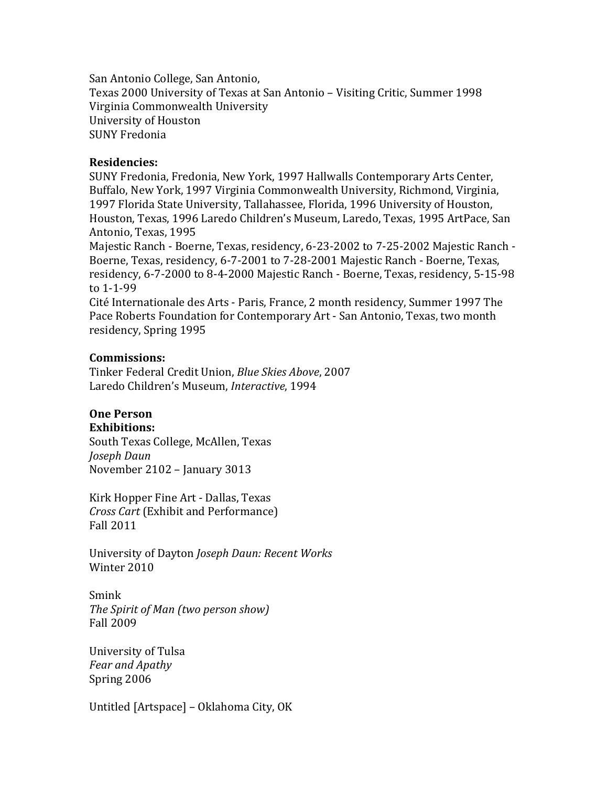San Antonio College, San Antonio, Texas 2000 University of Texas at San Antonio - Visiting Critic, Summer 1998 Virginia Commonwealth University University of Houston SUNY Fredonia

#### **Residencies:**

SUNY Fredonia, Fredonia, New York, 1997 Hallwalls Contemporary Arts Center, Buffalo, New York, 1997 Virginia Commonwealth University, Richmond, Virginia, 1997 Florida State University, Tallahassee, Florida, 1996 University of Houston, Houston, Texas, 1996 Laredo Children's Museum, Laredo, Texas, 1995 ArtPace, San Antonio, Texas, 1995

Majestic Ranch - Boerne, Texas, residency, 6-23-2002 to 7-25-2002 Majestic Ranch -Boerne, Texas, residency, 6-7-2001 to 7-28-2001 Majestic Ranch - Boerne, Texas, residency, 6-7-2000 to 8-4-2000 Majestic Ranch - Boerne, Texas, residency, 5-15-98 to 1-1-99

Cité Internationale des Arts - Paris, France, 2 month residency, Summer 1997 The Pace Roberts Foundation for Contemporary Art - San Antonio, Texas, two month residency, Spring 1995

#### **Commissions:**

Tinker Federal Credit Union, *Blue Skies Above*, 2007 Laredo Children's Museum, *Interactive*, 1994

# **One Person**

**Exhibitions:** 

South Texas College, McAllen, Texas *Joseph Daun* November 2102 - January 3013

Kirk Hopper Fine Art - Dallas, Texas *Cross Cart* (Exhibit and Performance) Fall 2011

University of Dayton *Joseph Daun: Recent Works* Winter 2010

Smink *The Spirit of Man (two person show)* Fall 2009

University of Tulsa *Fear and Apathy* Spring 2006

Untitled [Artspace] – Oklahoma City, OK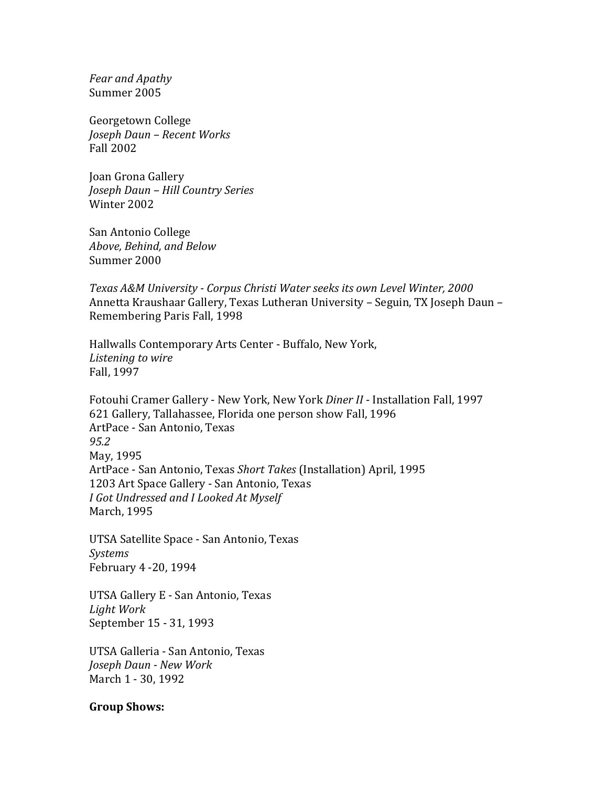*Fear and Apathy* Summer 2005

Georgetown College *Joseph Daun – Recent Works* Fall 2002

Joan Grona Gallery *Joseph Daun – Hill Country Series* Winter 2002

San Antonio College *Above, Behind, and Below* Summer 2000

*Texas A&M University - Corpus Christi Water seeks its own Level Winter, 2000* Annetta Kraushaar Gallery, Texas Lutheran University - Seguin, TX Joseph Daun -Remembering Paris Fall, 1998

Hallwalls Contemporary Arts Center - Buffalo, New York, Listening to wire Fall, 1997

Fotouhi Cramer Gallery - New York, New York *Diner II* - Installation Fall, 1997 621 Gallery, Tallahassee, Florida one person show Fall, 1996 ArtPace - San Antonio, Texas *95.2* May, 1995 ArtPace - San Antonio, Texas Short Takes (Installation) April, 1995 1203 Art Space Gallery - San Antonio, Texas *I Got Undressed and I Looked At Myself* March, 1995

UTSA Satellite Space - San Antonio, Texas *Systems* February 4 -20, 1994

UTSA Gallery E - San Antonio, Texas *Light Work* September 15 - 31, 1993

UTSA Galleria - San Antonio, Texas *Joseph Daun - New Work* March 1 - 30, 1992

#### **Group Shows:**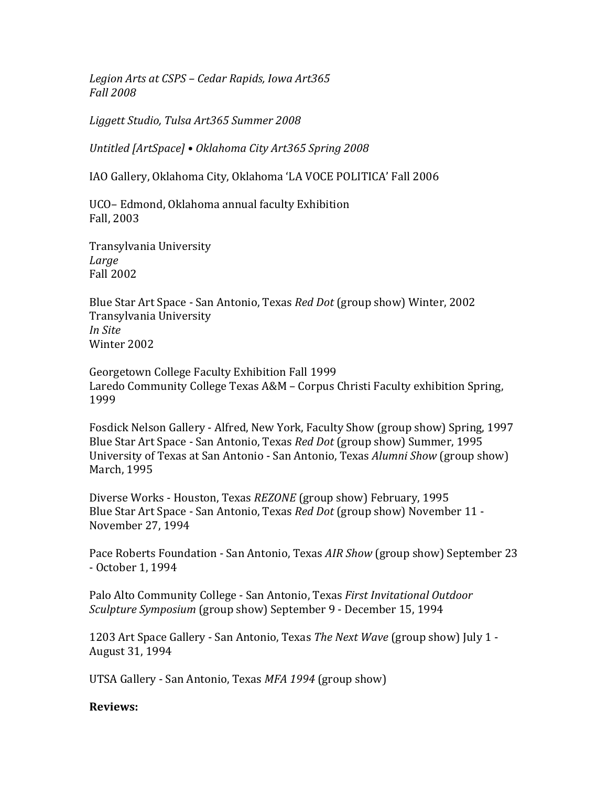Legion Arts at CSPS – Cedar Rapids, Iowa Art365 *Fall 2008*

*Liggett Studio, Tulsa Art365 Summer 2008*

*Untitled [ArtSpace] • Oklahoma City Art365 Spring 2008*

IAO Gallery, Oklahoma City, Oklahoma 'LA VOCE POLITICA' Fall 2006

UCO– Edmond, Oklahoma annual faculty Exhibition Fall, 2003

Transylvania University *Large* Fall 2002

Blue Star Art Space - San Antonio, Texas *Red Dot* (group show) Winter, 2002 Transylvania University *In Site* Winter 2002

Georgetown College Faculty Exhibition Fall 1999 Laredo Community College Texas A&M - Corpus Christi Faculty exhibition Spring, 1999

Fosdick Nelson Gallery - Alfred, New York, Faculty Show (group show) Spring, 1997 Blue Star Art Space - San Antonio, Texas *Red Dot* (group show) Summer, 1995 University of Texas at San Antonio - San Antonio, Texas *Alumni Show* (group show) March, 1995

Diverse Works - Houston, Texas *REZONE* (group show) February, 1995 Blue Star Art Space - San Antonio, Texas *Red Dot* (group show) November 11 -November 27, 1994

Pace Roberts Foundation - San Antonio, Texas *AIR Show* (group show) September 23 - October 1, 1994

Palo Alto Community College - San Antonio, Texas *First Invitational Outdoor Sculpture Symposium* (group show) September 9 - December 15, 1994

1203 Art Space Gallery - San Antonio, Texas *The Next Wave* (group show) July 1 -August 31, 1994

UTSA Gallery - San Antonio, Texas MFA 1994 (group show)

#### **Reviews:**